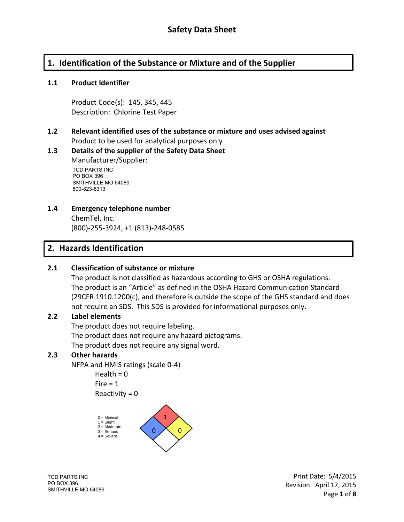# **1. Identification of the Substance or Mixture and of the Supplier**

#### **1.1 Product Identifier**

Product Code(s): 145, 345, 445 Description: Chlorine Test Paper

#### **1.2 Relevant identified uses of the substance or mixture and uses advised against** Product to be used for analytical purposes only

#### **1.3 Details of the supplier of the Safety Data Sheet** Manufacturer/Supplier: TCD PARTS INC PU BUX 396<br>SMITHVILLE MO 64089 800-823-8313 PO BOX 396

Phone (928)-649-9833 **1.4 Emergency telephone number**

ChemTel, Inc. (800)-255-3924, +1 (813)-248-0585

# **2. Hazards Identification**

#### **2.1 Classification of substance or mixture**

The product is not classified as hazardous according to GHS or OSHA regulations. The product is an "Article" as defined in the OSHA Hazard Communication Standard (29CFR 1910.1200(c), and therefore is outside the scope of the GHS standard and does not require an SDS. This SDS is provided for informational purposes only.

#### **2.2 Label elements**

The product does not require labeling. The product does not require any hazard pictograms. The product does not require any signal word.

#### **2.3 Other hazards**

NFPA and HMIS ratings (scale 0-4)

Health  $= 0$  $Fire = 1$  $Reactivity = 0$ 



TCD PARTS INC PO BOX 396 SMITHVILLE MO 64089

Print Date: 5/4/2015 Revision: April 17, 2015 Cottonwood, AZ 86326 Page **1** of **8**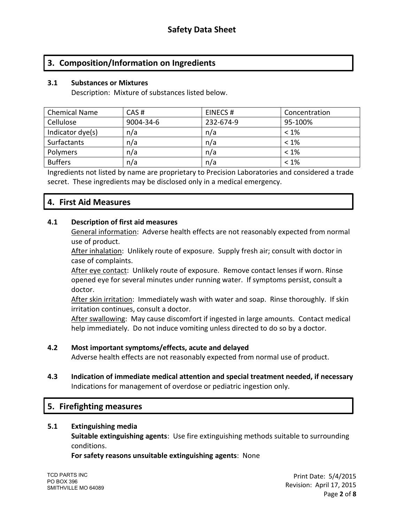# **3. Composition/Information on Ingredients**

#### **3.1 Substances or Mixtures**

Description: Mixture of substances listed below.

| <b>Chemical Name</b> | CAS#      | EINECS#   | Concentration |
|----------------------|-----------|-----------|---------------|
| Cellulose            | 9004-34-6 | 232-674-9 | 95-100%       |
| Indicator dye(s)     | n/a       | n/a       | $< 1\%$       |
| Surfactants          | n/a       | n/a       | $< 1\%$       |
| Polymers             | n/a       | n/a       | $< 1\%$       |
| <b>Buffers</b>       | n/a       | n/a       | $< 1\%$       |

Ingredients not listed by name are proprietary to Precision Laboratories and considered a trade secret. These ingredients may be disclosed only in a medical emergency.

## **4. First Aid Measures**

#### **4.1 Description of first aid measures**

General information: Adverse health effects are not reasonably expected from normal use of product.

After inhalation: Unlikely route of exposure. Supply fresh air; consult with doctor in case of complaints.

After eye contact: Unlikely route of exposure. Remove contact lenses if worn. Rinse opened eye for several minutes under running water. If symptoms persist, consult a doctor.

After skin irritation: Immediately wash with water and soap. Rinse thoroughly. If skin irritation continues, consult a doctor.

After swallowing: May cause discomfort if ingested in large amounts. Contact medical help immediately. Do not induce vomiting unless directed to do so by a doctor.

#### **4.2 Most important symptoms/effects, acute and delayed**

Adverse health effects are not reasonably expected from normal use of product.

**4.3 Indication of immediate medical attention and special treatment needed, if necessary** Indications for management of overdose or pediatric ingestion only.

### **5. Firefighting measures**

#### **5.1 Extinguishing media**

**Suitable extinguishing agents**: Use fire extinguishing methods suitable to surrounding conditions.

**For safety reasons unsuitable extinguishing agents**: None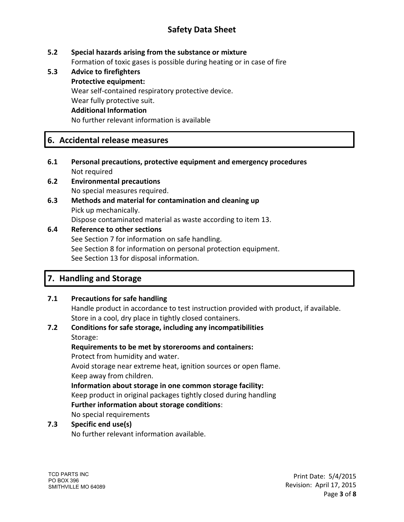# **Safety Data Sheet**

### **5.2 Special hazards arising from the substance or mixture**

Formation of toxic gases is possible during heating or in case of fire

**5.3 Advice to firefighters Protective equipment:** Wear self-contained respiratory protective device. Wear fully protective suit. **Additional Information** No further relevant information is available

# **6. Accidental release measures**

- **6.1 Personal precautions, protective equipment and emergency procedures** Not required
- **6.2 Environmental precautions** No special measures required.
- **6.3 Methods and material for contamination and cleaning up** Pick up mechanically. Dispose contaminated material as waste according to item 13.

#### **6.4 Reference to other sections**

See Section 7 for information on safe handling. See Section 8 for information on personal protection equipment. See Section 13 for disposal information.

# **7. Handling and Storage**

### **7.1 Precautions for safe handling**

Handle product in accordance to test instruction provided with product, if available. Store in a cool, dry place in tightly closed containers.

#### **7.2 Conditions for safe storage, including any incompatibilities** Storage:

# **Requirements to be met by storerooms and containers:**

Protect from humidity and water.

Avoid storage near extreme heat, ignition sources or open flame. Keep away from children.

#### **Information about storage in one common storage facility:**

Keep product in original packages tightly closed during handling **Further information about storage conditions**:

No special requirements

### **7.3 Specific end use(s)**

No further relevant information available.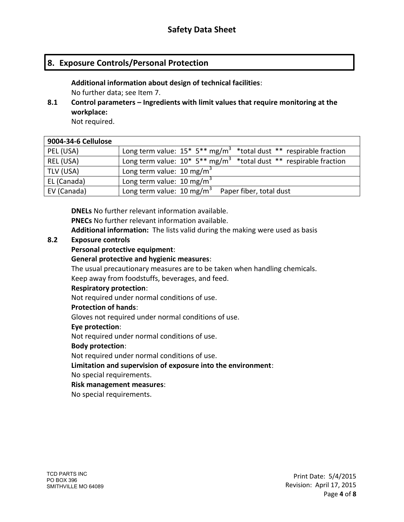# **8. Exposure Controls/Personal Protection**

**Additional information about design of technical facilities**: No further data; see Item 7.

**8.1 Control parameters – Ingredients with limit values that require monitoring at the workplace:**

Not required.

| 9004-34-6 Cellulose |                                                                                              |
|---------------------|----------------------------------------------------------------------------------------------|
| PEL (USA)           | Long term value: $15* 5** mg/m^3$ *total dust ** respirable fraction                         |
| REL (USA)           | Long term value: $10^*$ 5 <sup>**</sup> mg/m <sup>3</sup> *total dust ** respirable fraction |
| TLV (USA)           | Long term value: 10 mg/m <sup>3</sup>                                                        |
| EL (Canada)         | Long term value: 10 mg/m <sup>3</sup>                                                        |
| EV (Canada)         | Long term value: $10 \text{ mg/m}^3$<br>Paper fiber, total dust                              |

**DNELs** No further relevant information available.

**PNECs** No further relevant information available.

**Additional information:** The lists valid during the making were used as basis

#### **8.2 Exposure controls**

### **Personal protective equipment**:

#### **General protective and hygienic measures**:

The usual precautionary measures are to be taken when handling chemicals. Keep away from foodstuffs, beverages, and feed.

#### **Respiratory protection**:

Not required under normal conditions of use.

#### **Protection of hands**:

Gloves not required under normal conditions of use.

#### **Eye protection**:

Not required under normal conditions of use.

#### **Body protection**:

Not required under normal conditions of use.

**Limitation and supervision of exposure into the environment**:

No special requirements.

#### **Risk management measures**:

No special requirements.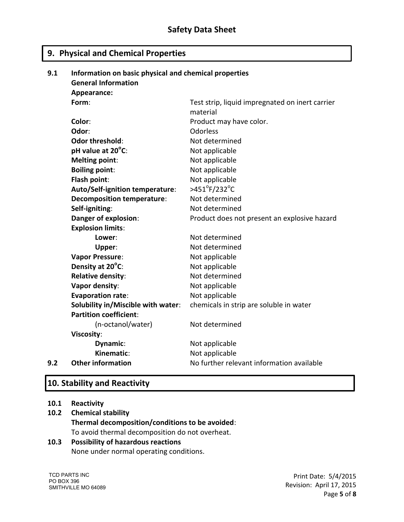# **9. Physical and Chemical Properties**

| 9.1 | Information on basic physical and chemical properties |                                                                      |  |  |
|-----|-------------------------------------------------------|----------------------------------------------------------------------|--|--|
|     | <b>General Information</b>                            |                                                                      |  |  |
|     | Appearance:                                           |                                                                      |  |  |
|     | Form:                                                 | Test strip, liquid impregnated on inert carrier                      |  |  |
|     |                                                       | material                                                             |  |  |
|     | Color:                                                | Product may have color.                                              |  |  |
|     | Odor:                                                 | <b>Odorless</b>                                                      |  |  |
|     | <b>Odor threshold:</b>                                | Not determined                                                       |  |  |
|     | pH value at 20°C:                                     | Not applicable                                                       |  |  |
|     | <b>Melting point:</b>                                 | Not applicable                                                       |  |  |
|     | <b>Boiling point:</b>                                 | Not applicable                                                       |  |  |
|     | Flash point:                                          | Not applicable                                                       |  |  |
|     | Auto/Self-ignition temperature:                       | >451 $\mathrm{^oF}/232\mathrm{^oC}$                                  |  |  |
|     | <b>Decomposition temperature:</b>                     | Not determined                                                       |  |  |
|     | Self-igniting:                                        | Not determined                                                       |  |  |
|     | Danger of explosion:                                  | Product does not present an explosive hazard                         |  |  |
|     | <b>Explosion limits:</b>                              |                                                                      |  |  |
|     | Lower:                                                | Not determined                                                       |  |  |
|     | Upper:                                                | Not determined                                                       |  |  |
|     | <b>Vapor Pressure:</b>                                | Not applicable<br>Not applicable<br>Not determined<br>Not applicable |  |  |
|     | Density at 20°C:                                      |                                                                      |  |  |
|     | <b>Relative density:</b>                              |                                                                      |  |  |
|     | Vapor density:                                        |                                                                      |  |  |
|     | <b>Evaporation rate:</b>                              | Not applicable                                                       |  |  |
|     | Solubility in/Miscible with water:                    | chemicals in strip are soluble in water                              |  |  |
|     | <b>Partition coefficient:</b>                         |                                                                      |  |  |
|     | (n-octanol/water)                                     | Not determined                                                       |  |  |
|     | <b>Viscosity:</b>                                     |                                                                      |  |  |
|     | Dynamic:                                              | Not applicable                                                       |  |  |
|     | Kinematic:                                            | Not applicable                                                       |  |  |
| 9.2 | <b>Other information</b>                              | No further relevant information available                            |  |  |

# **10. Stability and Reactivity**

#### **10.1 Reactivity**

# **10.2 Chemical stability Thermal decomposition/conditions to be avoided**: To avoid thermal decomposition do not overheat.

# **10.3 Possibility of hazardous reactions**

None under normal operating conditions.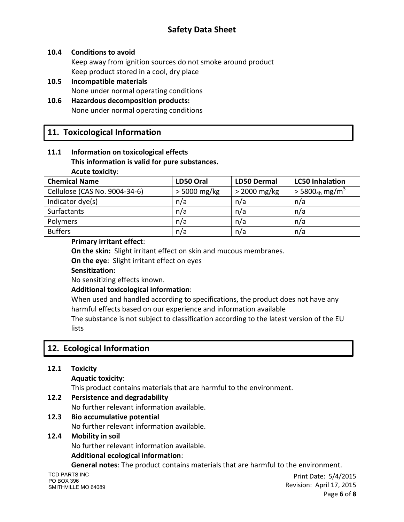# **Safety Data Sheet**

#### **10.4 Conditions to avoid**

Keep away from ignition sources do not smoke around product Keep product stored in a cool, dry place

**10.5 Incompatible materials** None under normal operating conditions

#### **10.6 Hazardous decomposition products:** None under normal operating conditions

# **11. Toxicological Information**

#### **11.1 Information on toxicological effects This information is valid for pure substances. Acute toxicity**:

| <b>Chemical Name</b>          | LD50 Oral      | <b>LD50 Dermal</b> | <b>LC50 Inhalation</b>                   |
|-------------------------------|----------------|--------------------|------------------------------------------|
| Cellulose (CAS No. 9004-34-6) | $>$ 5000 mg/kg | $>$ 2000 mg/kg     | $>$ 5800 <sub>4h</sub> mg/m <sup>3</sup> |
| Indicator dye(s)              | n/a            | n/a                | n/a                                      |
| Surfactants                   | n/a            | n/a                | n/a                                      |
| Polymers                      | n/a            | n/a                | n/a                                      |
| <b>Buffers</b>                | n/a            | n/a                | n/a                                      |

#### **Primary irritant effect**:

**On the skin:** Slight irritant effect on skin and mucous membranes.

**On the eye**: Slight irritant effect on eyes

#### **Sensitization:**

No sensitizing effects known.

#### **Additional toxicological information**:

When used and handled according to specifications, the product does not have any harmful effects based on our experience and information available

The substance is not subject to classification according to the latest version of the EU lists

# **12. Ecological Information**

### **12.1 Toxicity**

#### **Aquatic toxicity**:

This product contains materials that are harmful to the environment.

### **12.2 Persistence and degradability**

No further relevant information available.

# **12.3 Bio accumulative potential**

No further relevant information available.

#### **12.4 Mobility in soil**

No further relevant information available.

#### **Additional ecological information**:

**General notes**: The product contains materials that are harmful to the environment.

TCD PARTS INC PO BOX 396 SMITHVILLE MO 64089

Print Date: 5/4/2015 Revision: April 17, 2015  $P$ age **6** of **8**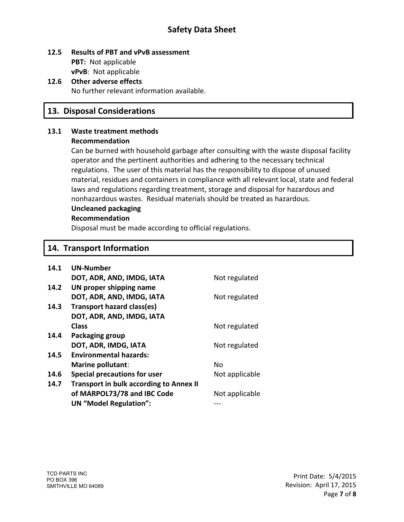# **Safety Data Sheet**

#### **12.5 Results of PBT and vPvB assessment PBT:** Not applicable **vPvB**: Not applicable

#### **12.6 Other adverse effects** No further relevant information available.

## **13. Disposal Considerations**

#### **13.1 Waste treatment methods Recommendation**

Can be burned with household garbage after consulting with the waste disposal facility operator and the pertinent authorities and adhering to the necessary technical regulations. The user of this material has the responsibility to dispose of unused material, residues and containers in compliance with all relevant local, state and federal laws and regulations regarding treatment, storage and disposal for hazardous and nonhazardous wastes. Residual materials should be treated as hazardous.

#### **Uncleaned packaging**

#### **Recommendation**

Disposal must be made according to official regulations.

### **14. Transport Information**

| 14.1 | <b>UN-Number</b>                               |                |
|------|------------------------------------------------|----------------|
|      | DOT, ADR, AND, IMDG, IATA                      | Not regulated  |
| 14.2 | UN proper shipping name                        |                |
|      | DOT, ADR, AND, IMDG, IATA                      | Not regulated  |
| 14.3 | Transport hazard class(es)                     |                |
|      | DOT, ADR, AND, IMDG, IATA                      |                |
|      | <b>Class</b>                                   | Not regulated  |
| 14.4 | Packaging group                                |                |
|      | DOT, ADR, IMDG, IATA                           | Not regulated  |
| 14.5 | <b>Environmental hazards:</b>                  |                |
|      | Marine pollutant:                              | No             |
| 14.6 | <b>Special precautions for user</b>            | Not applicable |
| 14.7 | <b>Transport in bulk according to Annex II</b> |                |
|      | of MARPOL73/78 and IBC Code                    | Not applicable |
|      | <b>UN</b> "Model Regulation":                  |                |